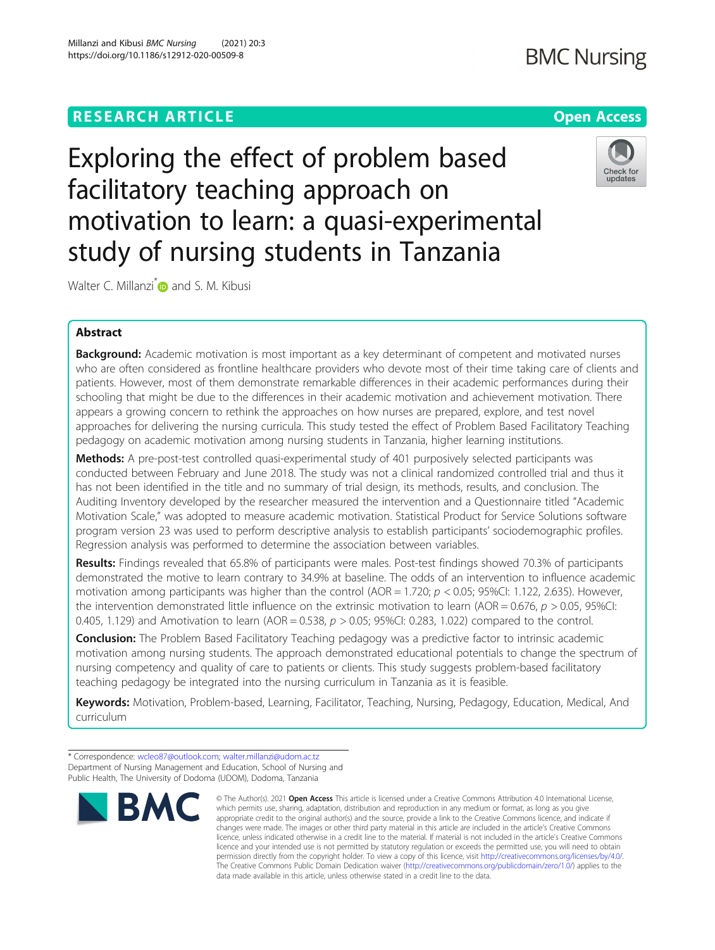# **RESEARCH ARTICLE Example 2014 12:30 The Contract of Contract ACCESS**

Exploring the effect of problem based facilitatory teaching approach on motivation to learn: a quasi-experimental study of nursing students in Tanzania

Walter C. Millanzi<sup>[\\*](http://orcid.org/0000-0001-8797-6185)</sup> and S. M. Kibusi

## Abstract

**Background:** Academic motivation is most important as a key determinant of competent and motivated nurses who are often considered as frontline healthcare providers who devote most of their time taking care of clients and patients. However, most of them demonstrate remarkable differences in their academic performances during their schooling that might be due to the differences in their academic motivation and achievement motivation. There appears a growing concern to rethink the approaches on how nurses are prepared, explore, and test novel approaches for delivering the nursing curricula. This study tested the effect of Problem Based Facilitatory Teaching pedagogy on academic motivation among nursing students in Tanzania, higher learning institutions.

Methods: A pre-post-test controlled quasi-experimental study of 401 purposively selected participants was conducted between February and June 2018. The study was not a clinical randomized controlled trial and thus it has not been identified in the title and no summary of trial design, its methods, results, and conclusion. The Auditing Inventory developed by the researcher measured the intervention and a Questionnaire titled "Academic Motivation Scale," was adopted to measure academic motivation. Statistical Product for Service Solutions software program version 23 was used to perform descriptive analysis to establish participants' sociodemographic profiles. Regression analysis was performed to determine the association between variables.

Results: Findings revealed that 65.8% of participants were males. Post-test findings showed 70.3% of participants demonstrated the motive to learn contrary to 34.9% at baseline. The odds of an intervention to influence academic motivation among participants was higher than the control ( $AOR = 1.720$ ;  $p < 0.05$ ; 95%CI: 1.122, 2.635). However, the intervention demonstrated little influence on the extrinsic motivation to learn (AOR = 0.676,  $p > 0.05$ , 95%CI: 0.405, 1.129) and Amotivation to learn (AOR = 0.538,  $p > 0.05$ ; 95%CI: 0.283, 1.022) compared to the control.

**Conclusion:** The Problem Based Facilitatory Teaching pedagogy was a predictive factor to intrinsic academic motivation among nursing students. The approach demonstrated educational potentials to change the spectrum of nursing competency and quality of care to patients or clients. This study suggests problem-based facilitatory teaching pedagogy be integrated into the nursing curriculum in Tanzania as it is feasible.

Keywords: Motivation, Problem-based, Learning, Facilitator, Teaching, Nursing, Pedagogy, Education, Medical, And curriculum

**BMC** 



which permits use, sharing, adaptation, distribution and reproduction in any medium or format, as long as you give appropriate credit to the original author(s) and the source, provide a link to the Creative Commons licence, and indicate if changes were made. The images or other third party material in this article are included in the article's Creative Commons licence, unless indicated otherwise in a credit line to the material. If material is not included in the article's Creative Commons licence and your intended use is not permitted by statutory regulation or exceeds the permitted use, you will need to obtain permission directly from the copyright holder. To view a copy of this licence, visit [http://creativecommons.org/licenses/by/4.0/.](http://creativecommons.org/licenses/by/4.0/) The Creative Commons Public Domain Dedication waiver [\(http://creativecommons.org/publicdomain/zero/1.0/](http://creativecommons.org/publicdomain/zero/1.0/)) applies to the data made available in this article, unless otherwise stated in a credit line to the data.

© The Author(s), 2021 **Open Access** This article is licensed under a Creative Commons Attribution 4.0 International License,



<sup>\*</sup> Correspondence: [wcleo87@outlook.com](mailto:wcleo87@outlook.com); [walter.millanzi@udom.ac.tz](mailto:walter.millanzi@udom.ac.tz) Department of Nursing Management and Education, School of Nursing and Public Health, The University of Dodoma (UDOM), Dodoma, Tanzania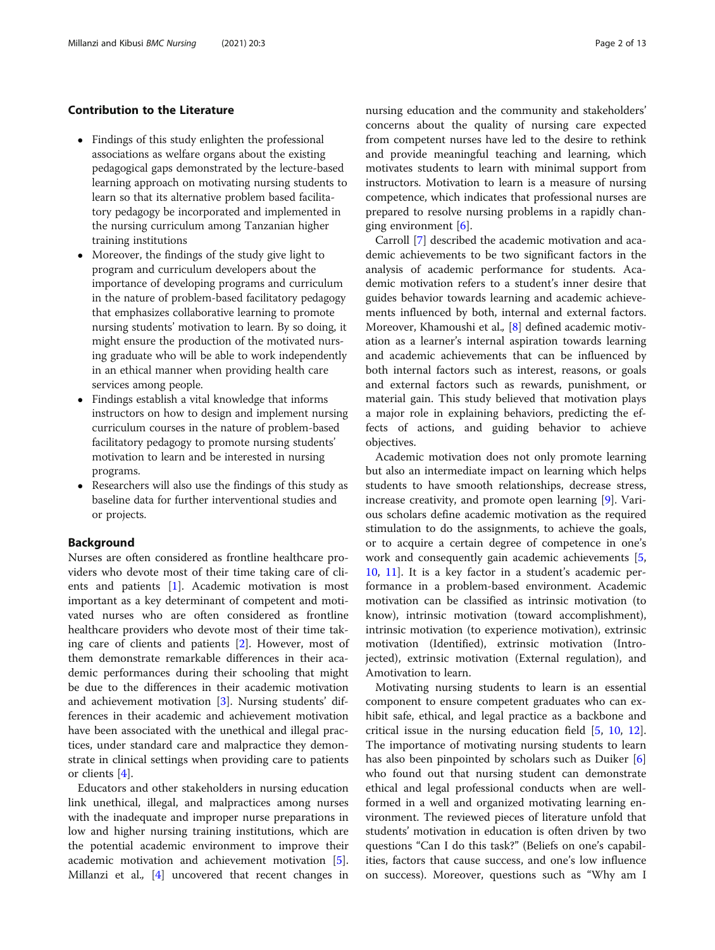## Contribution to the Literature

- Findings of this study enlighten the professional associations as welfare organs about the existing pedagogical gaps demonstrated by the lecture-based learning approach on motivating nursing students to learn so that its alternative problem based facilitatory pedagogy be incorporated and implemented in the nursing curriculum among Tanzanian higher training institutions
- Moreover, the findings of the study give light to program and curriculum developers about the importance of developing programs and curriculum in the nature of problem-based facilitatory pedagogy that emphasizes collaborative learning to promote nursing students' motivation to learn. By so doing, it might ensure the production of the motivated nursing graduate who will be able to work independently in an ethical manner when providing health care services among people.
- Findings establish a vital knowledge that informs instructors on how to design and implement nursing curriculum courses in the nature of problem-based facilitatory pedagogy to promote nursing students' motivation to learn and be interested in nursing programs.
- Researchers will also use the findings of this study as baseline data for further interventional studies and or projects.

### Background

Nurses are often considered as frontline healthcare providers who devote most of their time taking care of clients and patients [\[1](#page-11-0)]. Academic motivation is most important as a key determinant of competent and motivated nurses who are often considered as frontline healthcare providers who devote most of their time taking care of clients and patients [\[2](#page-11-0)]. However, most of them demonstrate remarkable differences in their academic performances during their schooling that might be due to the differences in their academic motivation and achievement motivation [[3\]](#page-11-0). Nursing students' differences in their academic and achievement motivation have been associated with the unethical and illegal practices, under standard care and malpractice they demonstrate in clinical settings when providing care to patients or clients [[4\]](#page-11-0).

Educators and other stakeholders in nursing education link unethical, illegal, and malpractices among nurses with the inadequate and improper nurse preparations in low and higher nursing training institutions, which are the potential academic environment to improve their academic motivation and achievement motivation [\[5](#page-11-0)]. Millanzi et al., [\[4](#page-11-0)] uncovered that recent changes in nursing education and the community and stakeholders' concerns about the quality of nursing care expected from competent nurses have led to the desire to rethink and provide meaningful teaching and learning, which motivates students to learn with minimal support from instructors. Motivation to learn is a measure of nursing competence, which indicates that professional nurses are prepared to resolve nursing problems in a rapidly changing environment [\[6](#page-11-0)].

Carroll [\[7](#page-11-0)] described the academic motivation and academic achievements to be two significant factors in the analysis of academic performance for students. Academic motivation refers to a student's inner desire that guides behavior towards learning and academic achievements influenced by both, internal and external factors. Moreover, Khamoushi et al., [[8\]](#page-11-0) defined academic motivation as a learner's internal aspiration towards learning and academic achievements that can be influenced by both internal factors such as interest, reasons, or goals and external factors such as rewards, punishment, or material gain. This study believed that motivation plays a major role in explaining behaviors, predicting the effects of actions, and guiding behavior to achieve objectives.

Academic motivation does not only promote learning but also an intermediate impact on learning which helps students to have smooth relationships, decrease stress, increase creativity, and promote open learning [[9\]](#page-11-0). Various scholars define academic motivation as the required stimulation to do the assignments, to achieve the goals, or to acquire a certain degree of competence in one's work and consequently gain academic achievements [\[5](#page-11-0), [10,](#page-11-0) [11\]](#page-11-0). It is a key factor in a student's academic performance in a problem-based environment. Academic motivation can be classified as intrinsic motivation (to know), intrinsic motivation (toward accomplishment), intrinsic motivation (to experience motivation), extrinsic motivation (Identified), extrinsic motivation (Introjected), extrinsic motivation (External regulation), and Amotivation to learn.

Motivating nursing students to learn is an essential component to ensure competent graduates who can exhibit safe, ethical, and legal practice as a backbone and critical issue in the nursing education field [[5,](#page-11-0) [10,](#page-11-0) [12](#page-11-0)]. The importance of motivating nursing students to learn has also been pinpointed by scholars such as Duiker [\[6](#page-11-0)] who found out that nursing student can demonstrate ethical and legal professional conducts when are wellformed in a well and organized motivating learning environment. The reviewed pieces of literature unfold that students' motivation in education is often driven by two questions "Can I do this task?" (Beliefs on one's capabilities, factors that cause success, and one's low influence on success). Moreover, questions such as "Why am I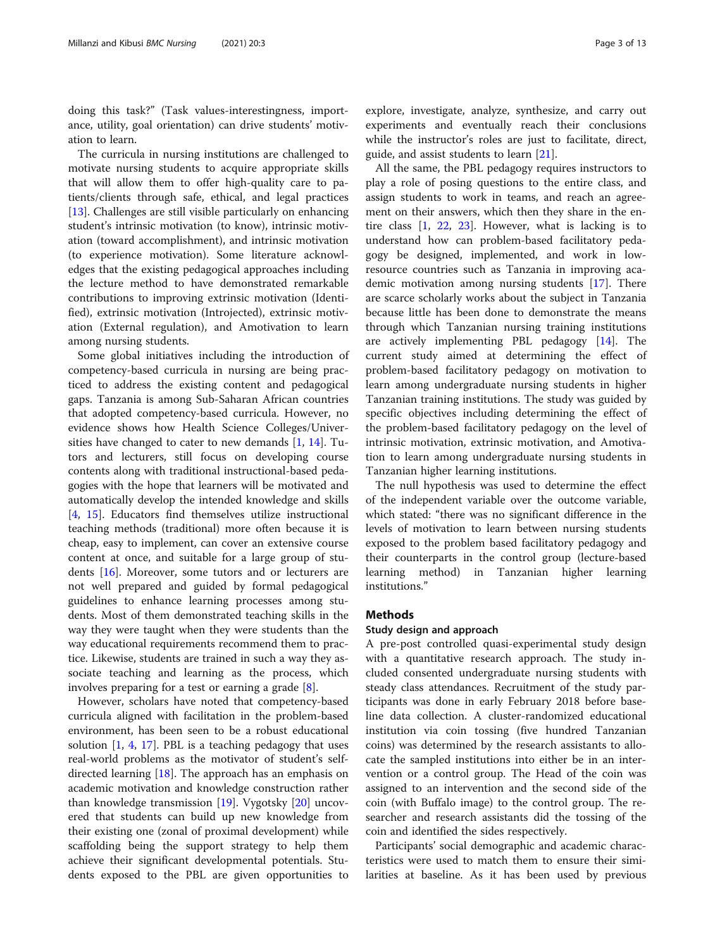doing this task?" (Task values-interestingness, importance, utility, goal orientation) can drive students' motivation to learn.

The curricula in nursing institutions are challenged to motivate nursing students to acquire appropriate skills that will allow them to offer high-quality care to patients/clients through safe, ethical, and legal practices [[13\]](#page-11-0). Challenges are still visible particularly on enhancing student's intrinsic motivation (to know), intrinsic motivation (toward accomplishment), and intrinsic motivation (to experience motivation). Some literature acknowledges that the existing pedagogical approaches including the lecture method to have demonstrated remarkable contributions to improving extrinsic motivation (Identified), extrinsic motivation (Introjected), extrinsic motivation (External regulation), and Amotivation to learn among nursing students.

Some global initiatives including the introduction of competency-based curricula in nursing are being practiced to address the existing content and pedagogical gaps. Tanzania is among Sub-Saharan African countries that adopted competency-based curricula. However, no evidence shows how Health Science Colleges/Universities have changed to cater to new demands  $[1, 14]$  $[1, 14]$  $[1, 14]$  $[1, 14]$ . Tutors and lecturers, still focus on developing course contents along with traditional instructional-based pedagogies with the hope that learners will be motivated and automatically develop the intended knowledge and skills [[4,](#page-11-0) [15\]](#page-11-0). Educators find themselves utilize instructional teaching methods (traditional) more often because it is cheap, easy to implement, can cover an extensive course content at once, and suitable for a large group of students [\[16\]](#page-11-0). Moreover, some tutors and or lecturers are not well prepared and guided by formal pedagogical guidelines to enhance learning processes among students. Most of them demonstrated teaching skills in the way they were taught when they were students than the way educational requirements recommend them to practice. Likewise, students are trained in such a way they associate teaching and learning as the process, which involves preparing for a test or earning a grade [\[8](#page-11-0)].

However, scholars have noted that competency-based curricula aligned with facilitation in the problem-based environment, has been seen to be a robust educational solution  $[1, 4, 17]$  $[1, 4, 17]$  $[1, 4, 17]$  $[1, 4, 17]$  $[1, 4, 17]$  $[1, 4, 17]$ . PBL is a teaching pedagogy that uses real-world problems as the motivator of student's selfdirected learning [[18\]](#page-11-0). The approach has an emphasis on academic motivation and knowledge construction rather than knowledge transmission [[19](#page-11-0)]. Vygotsky [[20\]](#page-11-0) uncovered that students can build up new knowledge from their existing one (zonal of proximal development) while scaffolding being the support strategy to help them achieve their significant developmental potentials. Students exposed to the PBL are given opportunities to explore, investigate, analyze, synthesize, and carry out experiments and eventually reach their conclusions while the instructor's roles are just to facilitate, direct, guide, and assist students to learn [\[21](#page-11-0)].

All the same, the PBL pedagogy requires instructors to play a role of posing questions to the entire class, and assign students to work in teams, and reach an agreement on their answers, which then they share in the entire class [[1,](#page-11-0) [22](#page-11-0), [23\]](#page-11-0). However, what is lacking is to understand how can problem-based facilitatory pedagogy be designed, implemented, and work in lowresource countries such as Tanzania in improving academic motivation among nursing students [\[17](#page-11-0)]. There are scarce scholarly works about the subject in Tanzania because little has been done to demonstrate the means through which Tanzanian nursing training institutions are actively implementing PBL pedagogy [[14\]](#page-11-0). The current study aimed at determining the effect of problem-based facilitatory pedagogy on motivation to learn among undergraduate nursing students in higher Tanzanian training institutions. The study was guided by specific objectives including determining the effect of the problem-based facilitatory pedagogy on the level of intrinsic motivation, extrinsic motivation, and Amotivation to learn among undergraduate nursing students in Tanzanian higher learning institutions.

The null hypothesis was used to determine the effect of the independent variable over the outcome variable, which stated: "there was no significant difference in the levels of motivation to learn between nursing students exposed to the problem based facilitatory pedagogy and their counterparts in the control group (lecture-based learning method) in Tanzanian higher learning institutions."

## **Methods**

#### Study design and approach

A pre-post controlled quasi-experimental study design with a quantitative research approach. The study included consented undergraduate nursing students with steady class attendances. Recruitment of the study participants was done in early February 2018 before baseline data collection. A cluster-randomized educational institution via coin tossing (five hundred Tanzanian coins) was determined by the research assistants to allocate the sampled institutions into either be in an intervention or a control group. The Head of the coin was assigned to an intervention and the second side of the coin (with Buffalo image) to the control group. The researcher and research assistants did the tossing of the coin and identified the sides respectively.

Participants' social demographic and academic characteristics were used to match them to ensure their similarities at baseline. As it has been used by previous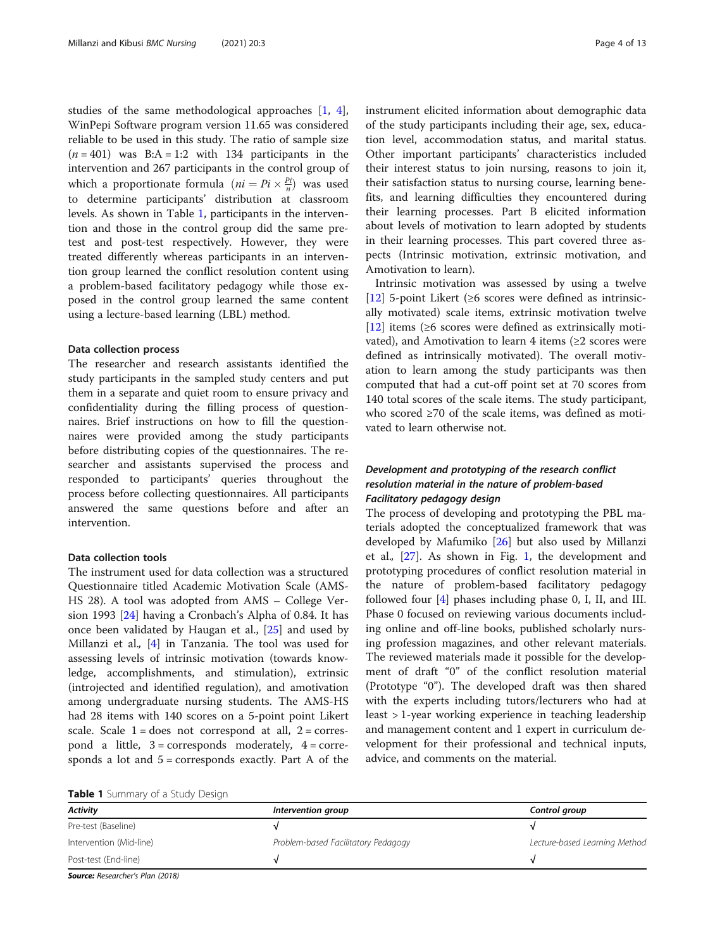studies of the same methodological approaches [\[1](#page-11-0), [4](#page-11-0)], WinPepi Software program version 11.65 was considered reliable to be used in this study. The ratio of sample size  $(n = 401)$  was B:A = 1:2 with 134 participants in the intervention and 267 participants in the control group of which a proportionate formula  $(ni = Pi \times \frac{Pi}{n})$  was used to determine participants' distribution at classroom levels. As shown in Table 1, participants in the intervention and those in the control group did the same pretest and post-test respectively. However, they were treated differently whereas participants in an intervention group learned the conflict resolution content using a problem-based facilitatory pedagogy while those exposed in the control group learned the same content using a lecture-based learning (LBL) method.

#### Data collection process

The researcher and research assistants identified the study participants in the sampled study centers and put them in a separate and quiet room to ensure privacy and confidentiality during the filling process of questionnaires. Brief instructions on how to fill the questionnaires were provided among the study participants before distributing copies of the questionnaires. The researcher and assistants supervised the process and responded to participants' queries throughout the process before collecting questionnaires. All participants answered the same questions before and after an intervention.

#### Data collection tools

The instrument used for data collection was a structured Questionnaire titled Academic Motivation Scale (AMS-HS 28). A tool was adopted from AMS – College Version 1993 [[24\]](#page-11-0) having a Cronbach's Alpha of 0.84. It has once been validated by Haugan et al., [[25](#page-12-0)] and used by Millanzi et al., [[4\]](#page-11-0) in Tanzania. The tool was used for assessing levels of intrinsic motivation (towards knowledge, accomplishments, and stimulation), extrinsic (introjected and identified regulation), and amotivation among undergraduate nursing students. The AMS-HS had 28 items with 140 scores on a 5-point point Likert scale. Scale  $1 =$  does not correspond at all,  $2 =$  correspond a little,  $3 =$  corresponds moderately,  $4 =$  corresponds a lot and  $5 =$  corresponds exactly. Part A of the instrument elicited information about demographic data of the study participants including their age, sex, education level, accommodation status, and marital status. Other important participants' characteristics included their interest status to join nursing, reasons to join it, their satisfaction status to nursing course, learning benefits, and learning difficulties they encountered during their learning processes. Part B elicited information about levels of motivation to learn adopted by students in their learning processes. This part covered three aspects (Intrinsic motivation, extrinsic motivation, and Amotivation to learn).

Intrinsic motivation was assessed by using a twelve [[12\]](#page-11-0) 5-point Likert (≥6 scores were defined as intrinsically motivated) scale items, extrinsic motivation twelve [[12\]](#page-11-0) items (≥6 scores were defined as extrinsically motivated), and Amotivation to learn 4 items ( $\geq 2$  scores were defined as intrinsically motivated). The overall motivation to learn among the study participants was then computed that had a cut-off point set at 70 scores from 140 total scores of the scale items. The study participant, who scored ≥70 of the scale items, was defined as motivated to learn otherwise not.

## Development and prototyping of the research conflict resolution material in the nature of problem-based Facilitatory pedagogy design

The process of developing and prototyping the PBL materials adopted the conceptualized framework that was developed by Mafumiko [\[26](#page-12-0)] but also used by Millanzi et al.,  $[27]$  $[27]$  $[27]$ . As shown in Fig. [1](#page-4-0), the development and prototyping procedures of conflict resolution material in the nature of problem-based facilitatory pedagogy followed four [\[4](#page-11-0)] phases including phase 0, I, II, and III. Phase 0 focused on reviewing various documents including online and off-line books, published scholarly nursing profession magazines, and other relevant materials. The reviewed materials made it possible for the development of draft "0" of the conflict resolution material (Prototype "0"). The developed draft was then shared with the experts including tutors/lecturers who had at least > 1-year working experience in teaching leadership and management content and 1 expert in curriculum development for their professional and technical inputs, advice, and comments on the material.

| Table 1 Summary of a Study Design |  |
|-----------------------------------|--|
|-----------------------------------|--|

| <b>Activity</b>                 | Intervention group                  | Control group                 |
|---------------------------------|-------------------------------------|-------------------------------|
| Pre-test (Baseline)             |                                     |                               |
| Intervention (Mid-line)         | Problem-based Facilitatory Pedagogy | Lecture-based Learning Method |
| Post-test (End-line)            |                                     |                               |
| Causes Desearcher's Dlan (2010) |                                     |                               |

Source: Researcher's Plan (2018)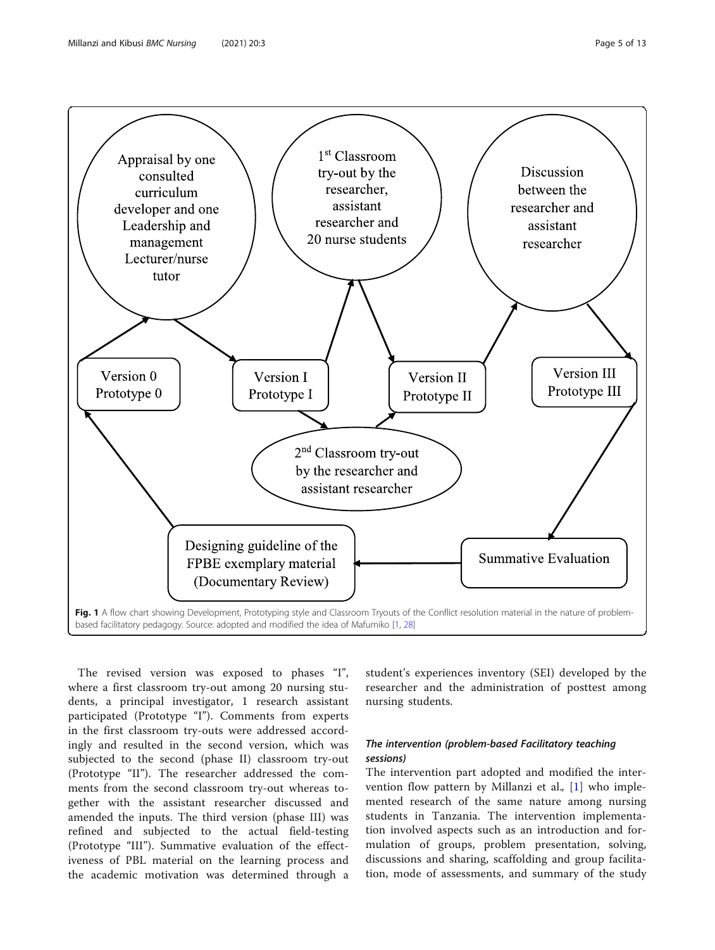<span id="page-4-0"></span>

The revised version was exposed to phases "I", where a first classroom try-out among 20 nursing students, a principal investigator, 1 research assistant participated (Prototype "I"). Comments from experts in the first classroom try-outs were addressed accordingly and resulted in the second version, which was subjected to the second (phase II) classroom try-out (Prototype "II"). The researcher addressed the comments from the second classroom try-out whereas together with the assistant researcher discussed and amended the inputs. The third version (phase III) was refined and subjected to the actual field-testing (Prototype "III"). Summative evaluation of the effectiveness of PBL material on the learning process and the academic motivation was determined through a

student's experiences inventory (SEI) developed by the researcher and the administration of posttest among nursing students.

## The intervention (problem-based Facilitatory teaching sessions)

The intervention part adopted and modified the inter-vention flow pattern by Millanzi et al., [[1\]](#page-11-0) who implemented research of the same nature among nursing students in Tanzania. The intervention implementation involved aspects such as an introduction and formulation of groups, problem presentation, solving, discussions and sharing, scaffolding and group facilitation, mode of assessments, and summary of the study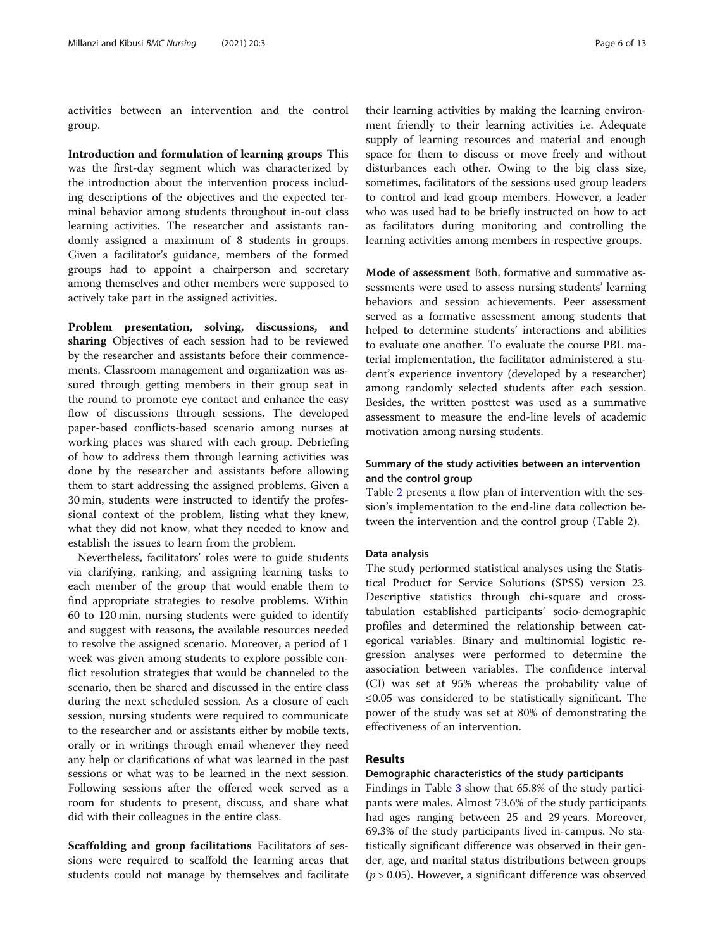activities between an intervention and the control group.

Introduction and formulation of learning groups This was the first-day segment which was characterized by the introduction about the intervention process including descriptions of the objectives and the expected terminal behavior among students throughout in-out class learning activities. The researcher and assistants randomly assigned a maximum of 8 students in groups. Given a facilitator's guidance, members of the formed groups had to appoint a chairperson and secretary among themselves and other members were supposed to actively take part in the assigned activities.

Problem presentation, solving, discussions, and sharing Objectives of each session had to be reviewed by the researcher and assistants before their commencements. Classroom management and organization was assured through getting members in their group seat in the round to promote eye contact and enhance the easy flow of discussions through sessions. The developed paper-based conflicts-based scenario among nurses at working places was shared with each group. Debriefing of how to address them through learning activities was done by the researcher and assistants before allowing them to start addressing the assigned problems. Given a 30 min, students were instructed to identify the professional context of the problem, listing what they knew, what they did not know, what they needed to know and establish the issues to learn from the problem.

Nevertheless, facilitators' roles were to guide students via clarifying, ranking, and assigning learning tasks to each member of the group that would enable them to find appropriate strategies to resolve problems. Within 60 to 120 min, nursing students were guided to identify and suggest with reasons, the available resources needed to resolve the assigned scenario. Moreover, a period of 1 week was given among students to explore possible conflict resolution strategies that would be channeled to the scenario, then be shared and discussed in the entire class during the next scheduled session. As a closure of each session, nursing students were required to communicate to the researcher and or assistants either by mobile texts, orally or in writings through email whenever they need any help or clarifications of what was learned in the past sessions or what was to be learned in the next session. Following sessions after the offered week served as a room for students to present, discuss, and share what did with their colleagues in the entire class.

Scaffolding and group facilitations Facilitators of sessions were required to scaffold the learning areas that students could not manage by themselves and facilitate

their learning activities by making the learning environment friendly to their learning activities i.e. Adequate supply of learning resources and material and enough space for them to discuss or move freely and without disturbances each other. Owing to the big class size, sometimes, facilitators of the sessions used group leaders to control and lead group members. However, a leader who was used had to be briefly instructed on how to act as facilitators during monitoring and controlling the learning activities among members in respective groups.

Mode of assessment Both, formative and summative assessments were used to assess nursing students' learning behaviors and session achievements. Peer assessment served as a formative assessment among students that helped to determine students' interactions and abilities to evaluate one another. To evaluate the course PBL material implementation, the facilitator administered a student's experience inventory (developed by a researcher) among randomly selected students after each session. Besides, the written posttest was used as a summative assessment to measure the end-line levels of academic motivation among nursing students.

## Summary of the study activities between an intervention and the control group

Table [2](#page-6-0) presents a flow plan of intervention with the session's implementation to the end-line data collection between the intervention and the control group (Table 2).

### Data analysis

The study performed statistical analyses using the Statistical Product for Service Solutions (SPSS) version 23. Descriptive statistics through chi-square and crosstabulation established participants' socio-demographic profiles and determined the relationship between categorical variables. Binary and multinomial logistic regression analyses were performed to determine the association between variables. The confidence interval (CI) was set at 95% whereas the probability value of ≤0.05 was considered to be statistically significant. The power of the study was set at 80% of demonstrating the effectiveness of an intervention.

#### Results

#### Demographic characteristics of the study participants

Findings in Table [3](#page-6-0) show that 65.8% of the study participants were males. Almost 73.6% of the study participants had ages ranging between 25 and 29 years. Moreover, 69.3% of the study participants lived in-campus. No statistically significant difference was observed in their gender, age, and marital status distributions between groups  $(p > 0.05)$ . However, a significant difference was observed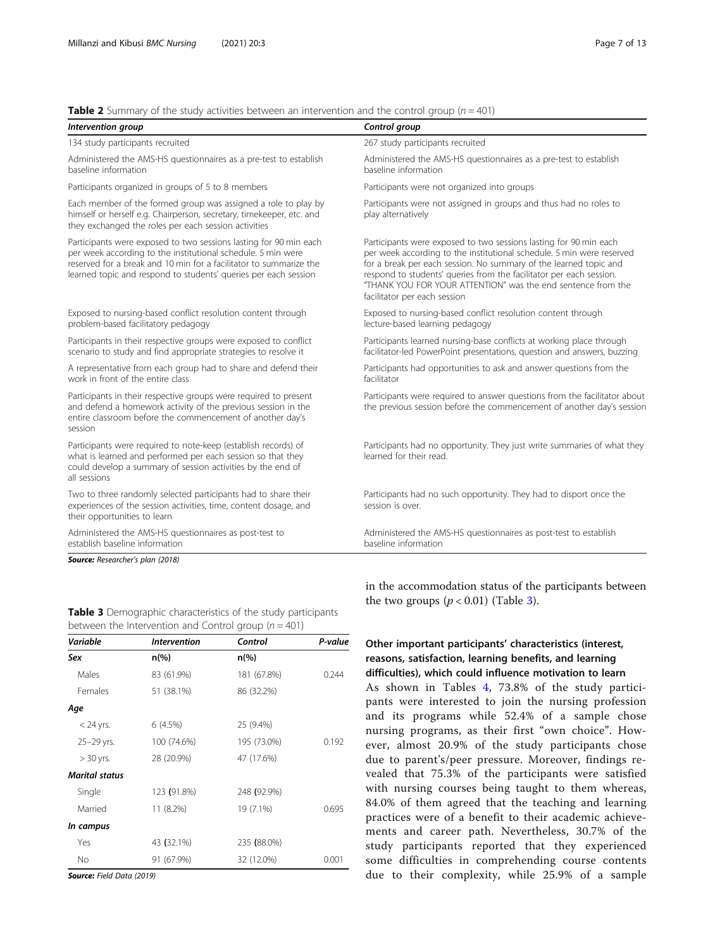<span id="page-6-0"></span>

|  | <b>Table 2</b> Summary of the study activities between an intervention and the control group ( $n = 401$ ) |  |  |
|--|------------------------------------------------------------------------------------------------------------|--|--|
|--|------------------------------------------------------------------------------------------------------------|--|--|

| Intervention group                                                                                                                                                                                                                                                         | Control group                                                                                                                                                                                                                                                                                                                                                                          |
|----------------------------------------------------------------------------------------------------------------------------------------------------------------------------------------------------------------------------------------------------------------------------|----------------------------------------------------------------------------------------------------------------------------------------------------------------------------------------------------------------------------------------------------------------------------------------------------------------------------------------------------------------------------------------|
| 134 study participants recruited                                                                                                                                                                                                                                           | 267 study participants recruited                                                                                                                                                                                                                                                                                                                                                       |
| Administered the AMS-HS questionnaires as a pre-test to establish<br>baseline information                                                                                                                                                                                  | Administered the AMS-HS questionnaires as a pre-test to establish<br>baseline information                                                                                                                                                                                                                                                                                              |
| Participants organized in groups of 5 to 8 members                                                                                                                                                                                                                         | Participants were not organized into groups                                                                                                                                                                                                                                                                                                                                            |
| Each member of the formed group was assigned a role to play by<br>himself or herself e.g. Chairperson, secretary, timekeeper, etc. and<br>they exchanged the roles per each session activities                                                                             | Participants were not assigned in groups and thus had no roles to<br>play alternatively                                                                                                                                                                                                                                                                                                |
| Participants were exposed to two sessions lasting for 90 min each<br>per week according to the institutional schedule. 5 min were<br>reserved for a break and 10 min for a facilitator to summarize the<br>learned topic and respond to students' queries per each session | Participants were exposed to two sessions lasting for 90 min each<br>per week according to the institutional schedule. 5 min were reserved<br>for a break per each session. No summary of the learned topic and<br>respond to students' queries from the facilitator per each session.<br>"THANK YOU FOR YOUR ATTENTION" was the end sentence from the<br>facilitator per each session |
| Exposed to nursing-based conflict resolution content through<br>problem-based facilitatory pedagogy                                                                                                                                                                        | Exposed to nursing-based conflict resolution content through<br>lecture-based learning pedagogy                                                                                                                                                                                                                                                                                        |
| Participants in their respective groups were exposed to conflict<br>scenario to study and find appropriate strategies to resolve it                                                                                                                                        | Participants learned nursing-base conflicts at working place through<br>facilitator-led PowerPoint presentations, question and answers, buzzing                                                                                                                                                                                                                                        |
| A representative from each group had to share and defend their<br>work in front of the entire class                                                                                                                                                                        | Participants had opportunities to ask and answer questions from the<br>facilitator                                                                                                                                                                                                                                                                                                     |
| Participants in their respective groups were required to present<br>and defend a homework activity of the previous session in the<br>entire classroom before the commencement of another day's<br>session                                                                  | Participants were required to answer questions from the facilitator about<br>the previous session before the commencement of another day's session                                                                                                                                                                                                                                     |
| Participants were required to note-keep (establish records) of<br>what is learned and performed per each session so that they<br>could develop a summary of session activities by the end of<br>all sessions                                                               | Participants had no opportunity. They just write summaries of what they<br>learned for their read.                                                                                                                                                                                                                                                                                     |
| Two to three randomly selected participants had to share their<br>experiences of the session activities, time, content dosage, and<br>their opportunities to learn                                                                                                         | Participants had no such opportunity. They had to disport once the<br>session is over.                                                                                                                                                                                                                                                                                                 |
| Administered the AMS-HS questionnaires as post-test to<br>establish baseline information                                                                                                                                                                                   | Administered the AMS-HS questionnaires as post-test to establish<br>baseline information                                                                                                                                                                                                                                                                                               |

| Table 3 Demographic characteristics of the study participants |  |
|---------------------------------------------------------------|--|
| between the Intervention and Control group ( $n = 401$ )      |  |

| Variable              | <b>Intervention</b> | Control        | P-value |  |
|-----------------------|---------------------|----------------|---------|--|
| Sex                   | $n\frac{6}{6}$      | $n\frac{6}{6}$ |         |  |
| Males                 | 83 (61.9%)          | 181 (67.8%)    | 0.244   |  |
| Females               | 51 (38.1%)          | 86 (32.2%)     |         |  |
| Age                   |                     |                |         |  |
| $<$ 24 yrs.           | 6(4.5%)             | 25 (9.4%)      |         |  |
| 25-29 yrs.            | 100 (74.6%)         | 195 (73.0%)    | 0.192   |  |
| $> 30$ yrs.           | 28 (20.9%)          | 47 (17.6%)     |         |  |
| <b>Marital status</b> |                     |                |         |  |
| Single                | 123 (91.8%)         | 248 (92.9%)    |         |  |
| Married               | 11 (8.2%)           | 19 (7.1%)      | 0.695   |  |
| In campus             |                     |                |         |  |
| Yes                   | 43 (32.1%)          | 235 (88.0%)    |         |  |
| <b>No</b>             | 91 (67.9%)          | 32 (12.0%)     | 0.001   |  |

in the accommodation status of the participants between the two groups  $(p < 0.01)$  (Table 3).

## Other important participants' characteristics (interest, reasons, satisfaction, learning benefits, and learning difficulties), which could influence motivation to learn

As shown in Tables [4,](#page-7-0) 73.8% of the study participants were interested to join the nursing profession and its programs while 52.4% of a sample chose nursing programs, as their first "own choice". However, almost 20.9% of the study participants chose due to parent's/peer pressure. Moreover, findings revealed that 75.3% of the participants were satisfied with nursing courses being taught to them whereas, 84.0% of them agreed that the teaching and learning practices were of a benefit to their academic achievements and career path. Nevertheless, 30.7% of the study participants reported that they experienced some difficulties in comprehending course contents due to their complexity, while 25.9% of a sample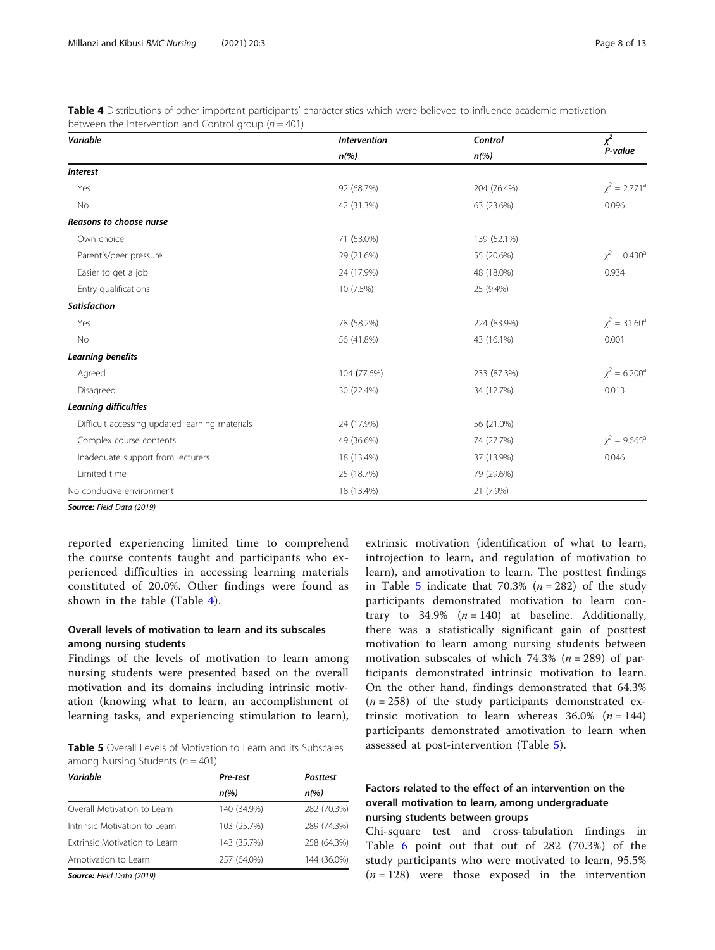<span id="page-7-0"></span>Table 4 Distributions of other important participants' characteristics which were believed to influence academic motivation between the Intervention and Control group ( $n = 401$ )

| Variable                                       | <b>Intervention</b> |             | $\chi^2$           |  |
|------------------------------------------------|---------------------|-------------|--------------------|--|
|                                                | $n$ (%)             | $n$ (%)     | P-value            |  |
| <b>Interest</b>                                |                     |             |                    |  |
| Yes                                            | 92 (68.7%)          | 204 (76.4%) | $\chi^2 = 2.771^a$ |  |
| No                                             | 42 (31.3%)          | 63 (23.6%)  | 0.096              |  |
| Reasons to choose nurse                        |                     |             |                    |  |
| Own choice                                     | 71 (53.0%)          | 139 (52.1%) |                    |  |
| Parent's/peer pressure                         | 29 (21.6%)          | 55 (20.6%)  | $\chi^2 = 0.430^a$ |  |
| Easier to get a job                            | 24 (17.9%)          | 48 (18.0%)  | 0.934              |  |
| Entry qualifications                           | 10 (7.5%)           | 25 (9.4%)   |                    |  |
| <b>Satisfaction</b>                            |                     |             |                    |  |
| Yes                                            | 78 (58.2%)          | 224 (83.9%) | $\chi^2 = 31.60^a$ |  |
| No                                             | 56 (41.8%)          | 43 (16.1%)  | 0.001              |  |
| Learning benefits                              |                     |             |                    |  |
| Agreed                                         | 104 (77.6%)         | 233 (87.3%) | $\chi^2 = 6.200^a$ |  |
| Disagreed                                      | 30 (22.4%)          | 34 (12.7%)  | 0.013              |  |
| Learning difficulties                          |                     |             |                    |  |
| Difficult accessing updated learning materials | 24 (17.9%)          | 56 (21.0%)  |                    |  |
| Complex course contents                        | 49 (36.6%)          | 74 (27.7%)  | $x^2 = 9.665^a$    |  |
| Inadequate support from lecturers              | 18 (13.4%)          | 37 (13.9%)  | 0.046              |  |
| Limited time                                   | 25 (18.7%)          | 79 (29.6%)  |                    |  |
| No conducive environment                       | 18 (13.4%)          | 21 (7.9%)   |                    |  |

reported experiencing limited time to comprehend the course contents taught and participants who experienced difficulties in accessing learning materials constituted of 20.0%. Other findings were found as shown in the table (Table 4).

## Overall levels of motivation to learn and its subscales among nursing students

Findings of the levels of motivation to learn among nursing students were presented based on the overall motivation and its domains including intrinsic motivation (knowing what to learn, an accomplishment of learning tasks, and experiencing stimulation to learn),

Table 5 Overall Levels of Motivation to Learn and its Subscales among Nursing Students ( $n = 401$ )

| Variable                      | Pre-test    | <b>Posttest</b> |
|-------------------------------|-------------|-----------------|
|                               | $n$ (%)     | $n\frac{9}{6}$  |
| Overall Motivation to Learn   | 140 (34.9%) | 282 (70.3%)     |
| Intrinsic Motivation to Learn | 103 (25.7%) | 289 (74.3%)     |
| Extrinsic Motivation to Learn | 143 (35.7%) | 258 (64.3%)     |
| Amotivation to Learn          | 257 (64.0%) | 144 (36.0%)     |
| $6 - \frac{1}{2}$             |             |                 |

Source: Field Data (2019)

extrinsic motivation (identification of what to learn, introjection to learn, and regulation of motivation to learn), and amotivation to learn. The posttest findings in Table 5 indicate that 70.3% ( $n = 282$ ) of the study participants demonstrated motivation to learn contrary to 34.9%  $(n = 140)$  at baseline. Additionally, there was a statistically significant gain of posttest motivation to learn among nursing students between motivation subscales of which 74.3% ( $n = 289$ ) of participants demonstrated intrinsic motivation to learn. On the other hand, findings demonstrated that 64.3%  $(n = 258)$  of the study participants demonstrated extrinsic motivation to learn whereas  $36.0\%$  ( $n = 144$ ) participants demonstrated amotivation to learn when assessed at post-intervention (Table 5).

## Factors related to the effect of an intervention on the overall motivation to learn, among undergraduate nursing students between groups

Chi-square test and cross-tabulation findings in Table [6](#page-8-0) point out that out of 282 (70.3%) of the study participants who were motivated to learn, 95.5%  $(n = 128)$  were those exposed in the intervention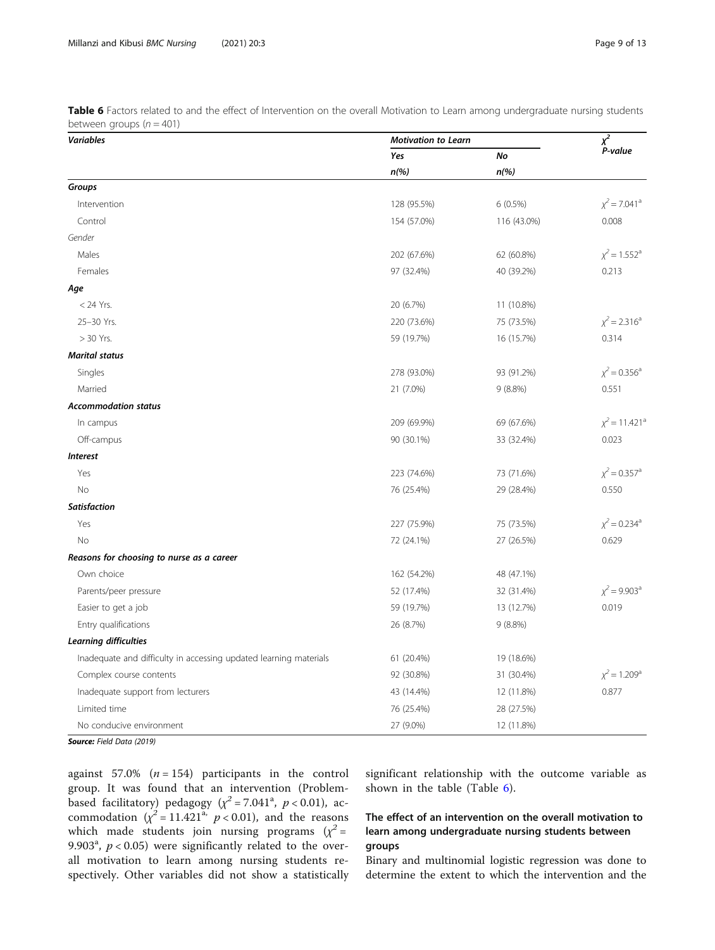<span id="page-8-0"></span>

| Table 6 Factors related to and the effect of Intervention on the overall Motivation to Learn among undergraduate nursing students |  |  |  |  |
|-----------------------------------------------------------------------------------------------------------------------------------|--|--|--|--|
| between groups ( $n = 401$ )                                                                                                      |  |  |  |  |

| <b>Variables</b>                                                  | <b>Motivation to Learn</b> |             |                                |  |
|-------------------------------------------------------------------|----------------------------|-------------|--------------------------------|--|
|                                                                   | Yes                        | No          | P-value                        |  |
|                                                                   | $n$ (%)                    | $n$ (%)     |                                |  |
| Groups                                                            |                            |             |                                |  |
| Intervention                                                      | 128 (95.5%)                | $6(0.5\%)$  | $\chi^2$ = 7.041 <sup>a</sup>  |  |
| Control                                                           | 154 (57.0%)                | 116 (43.0%) | 0.008                          |  |
| Gender                                                            |                            |             |                                |  |
| Males                                                             | 202 (67.6%)                | 62 (60.8%)  | $\chi^2$ = 1.552 <sup>a</sup>  |  |
| Females                                                           | 97 (32.4%)                 | 40 (39.2%)  | 0.213                          |  |
| Age                                                               |                            |             |                                |  |
| $<$ 24 Yrs.                                                       | 20 (6.7%)                  | 11 (10.8%)  |                                |  |
| 25-30 Yrs.                                                        | 220 (73.6%)                | 75 (73.5%)  | $\chi^2$ = 2.316 <sup>a</sup>  |  |
| $> 30$ Yrs.                                                       | 59 (19.7%)                 | 16 (15.7%)  | 0.314                          |  |
| <b>Marital status</b>                                             |                            |             |                                |  |
| Singles                                                           | 278 (93.0%)                | 93 (91.2%)  | $\chi^2$ = 0.356 <sup>a</sup>  |  |
| Married                                                           | 21 (7.0%)                  | 9(8.8%)     | 0.551                          |  |
| <b>Accommodation status</b>                                       |                            |             |                                |  |
| In campus                                                         | 209 (69.9%)                | 69 (67.6%)  | $\chi^2$ = 11.421 <sup>a</sup> |  |
| Off-campus                                                        | 90 (30.1%)                 | 33 (32.4%)  | 0.023                          |  |
| <b>Interest</b>                                                   |                            |             |                                |  |
| Yes                                                               | 223 (74.6%)                | 73 (71.6%)  | $\chi^2$ = 0.357 <sup>a</sup>  |  |
| No                                                                | 76 (25.4%)                 | 29 (28.4%)  | 0.550                          |  |
| <b>Satisfaction</b>                                               |                            |             |                                |  |
| Yes                                                               | 227 (75.9%)                | 75 (73.5%)  | $\chi^2$ = 0.234 <sup>a</sup>  |  |
| No                                                                | 72 (24.1%)                 | 27 (26.5%)  | 0.629                          |  |
| Reasons for choosing to nurse as a career                         |                            |             |                                |  |
| Own choice                                                        | 162 (54.2%)                | 48 (47.1%)  |                                |  |
| Parents/peer pressure                                             | 52 (17.4%)                 | 32 (31.4%)  | $\chi^2$ = 9.903 <sup>a</sup>  |  |
| Easier to get a job                                               | 59 (19.7%)                 | 13 (12.7%)  | 0.019                          |  |
| Entry qualifications                                              | 26 (8.7%)                  | 9(8.8%)     |                                |  |
| <b>Learning difficulties</b>                                      |                            |             |                                |  |
| Inadequate and difficulty in accessing updated learning materials | 61 (20.4%)                 | 19 (18.6%)  |                                |  |
| Complex course contents                                           | 92 (30.8%)                 | 31 (30.4%)  | $\chi^2$ = 1.209 <sup>a</sup>  |  |
| Inadequate support from lecturers                                 | 43 (14.4%)                 | 12 (11.8%)  | 0.877                          |  |
| Limited time                                                      | 76 (25.4%)                 | 28 (27.5%)  |                                |  |
| No conducive environment                                          | 27 (9.0%)                  | 12 (11.8%)  |                                |  |

against 57.0%  $(n = 154)$  participants in the control group. It was found that an intervention (Problembased facilitatory) pedagogy ( $\chi^2$  = 7.041<sup>a</sup>, p < 0.01), accommodation  $(\chi^2 = 11.421^a, p < 0.01)$ , and the reasons which made students join nursing programs  $(x^2 =$ 9.903<sup>a</sup>,  $p < 0.05$ ) were significantly related to the overall motivation to learn among nursing students respectively. Other variables did not show a statistically significant relationship with the outcome variable as shown in the table (Table 6).

## The effect of an intervention on the overall motivation to learn among undergraduate nursing students between groups

Binary and multinomial logistic regression was done to determine the extent to which the intervention and the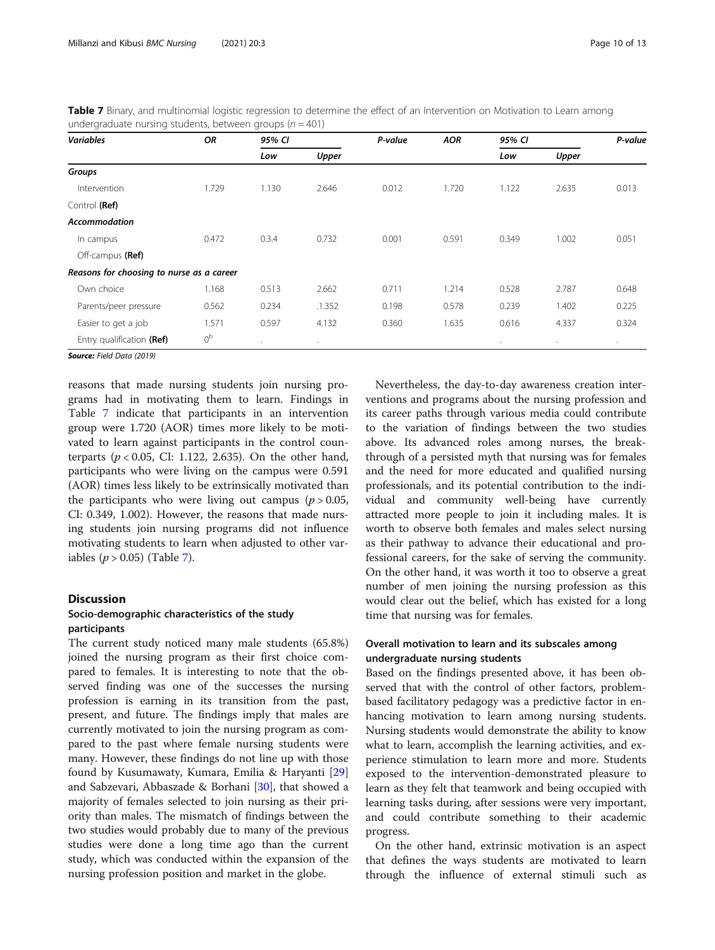| Table 7 Binary, and multinomial logistic regression to determine the effect of an Intervention on Motivation to Learn among |  |  |  |
|-----------------------------------------------------------------------------------------------------------------------------|--|--|--|
| undergraduate nursing students, between groups ( $n = 401$ )                                                                |  |  |  |

| <b>Variables</b>                          | <b>OR</b>      | 95% CI  |         | P-value | <b>AOR</b> | 95% CI |       | P-value |
|-------------------------------------------|----------------|---------|---------|---------|------------|--------|-------|---------|
|                                           |                | Low     | Upper   |         |            | Low    | Upper |         |
| Groups                                    |                |         |         |         |            |        |       |         |
| Intervention                              | 1.729          | 1.130   | 2.646   | 0.012   | 1.720      | 1.122  | 2.635 | 0.013   |
| Control (Ref)                             |                |         |         |         |            |        |       |         |
| <b>Accommodation</b>                      |                |         |         |         |            |        |       |         |
| In campus                                 | 0.472          | 0.3.4   | 0.732   | 0.001   | 0.591      | 0.349  | 1.002 | 0.051   |
| Off-campus (Ref)                          |                |         |         |         |            |        |       |         |
| Reasons for choosing to nurse as a career |                |         |         |         |            |        |       |         |
| Own choice                                | 1.168          | 0.513   | 2.662   | 0.711   | 1.214      | 0.528  | 2.787 | 0.648   |
| Parents/peer pressure                     | 0.562          | 0.234   | .1.352  | 0.198   | 0.578      | 0.239  | 1.402 | 0.225   |
| Easier to get a job                       | 1.571          | 0.597   | 4.132   | 0.360   | 1.635      | 0.616  | 4.337 | 0.324   |
| Entry qualification (Ref)                 | 0 <sup>b</sup> | $\cdot$ | $\cdot$ |         |            | ٠      | ٠     | $\cdot$ |

reasons that made nursing students join nursing programs had in motivating them to learn. Findings in Table 7 indicate that participants in an intervention group were 1.720 (AOR) times more likely to be motivated to learn against participants in the control counterparts ( $p < 0.05$ , CI: 1.122, 2.635). On the other hand, participants who were living on the campus were 0.591 (AOR) times less likely to be extrinsically motivated than the participants who were living out campus ( $p > 0.05$ , CI: 0.349, 1.002). However, the reasons that made nursing students join nursing programs did not influence motivating students to learn when adjusted to other variables  $(p > 0.05)$  (Table 7).

#### Discussion

## Socio-demographic characteristics of the study participants

The current study noticed many male students (65.8%) joined the nursing program as their first choice compared to females. It is interesting to note that the observed finding was one of the successes the nursing profession is earning in its transition from the past, present, and future. The findings imply that males are currently motivated to join the nursing program as compared to the past where female nursing students were many. However, these findings do not line up with those found by Kusumawaty, Kumara, Emilia & Haryanti [[29](#page-12-0)] and Sabzevari, Abbaszade & Borhani [[30](#page-12-0)], that showed a majority of females selected to join nursing as their priority than males. The mismatch of findings between the two studies would probably due to many of the previous studies were done a long time ago than the current study, which was conducted within the expansion of the nursing profession position and market in the globe.

Nevertheless, the day-to-day awareness creation interventions and programs about the nursing profession and its career paths through various media could contribute to the variation of findings between the two studies above. Its advanced roles among nurses, the breakthrough of a persisted myth that nursing was for females and the need for more educated and qualified nursing professionals, and its potential contribution to the individual and community well-being have currently attracted more people to join it including males. It is worth to observe both females and males select nursing as their pathway to advance their educational and professional careers, for the sake of serving the community. On the other hand, it was worth it too to observe a great number of men joining the nursing profession as this would clear out the belief, which has existed for a long time that nursing was for females.

## Overall motivation to learn and its subscales among undergraduate nursing students

Based on the findings presented above, it has been observed that with the control of other factors, problembased facilitatory pedagogy was a predictive factor in enhancing motivation to learn among nursing students. Nursing students would demonstrate the ability to know what to learn, accomplish the learning activities, and experience stimulation to learn more and more. Students exposed to the intervention-demonstrated pleasure to learn as they felt that teamwork and being occupied with learning tasks during, after sessions were very important, and could contribute something to their academic progress.

On the other hand, extrinsic motivation is an aspect that defines the ways students are motivated to learn through the influence of external stimuli such as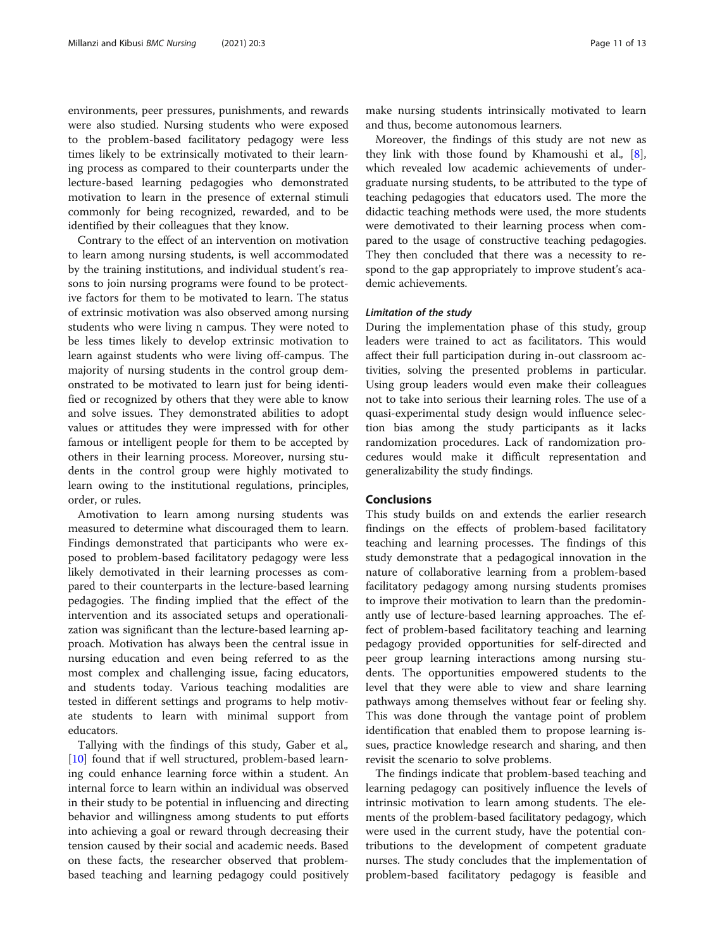environments, peer pressures, punishments, and rewards were also studied. Nursing students who were exposed to the problem-based facilitatory pedagogy were less times likely to be extrinsically motivated to their learning process as compared to their counterparts under the lecture-based learning pedagogies who demonstrated motivation to learn in the presence of external stimuli commonly for being recognized, rewarded, and to be identified by their colleagues that they know.

Contrary to the effect of an intervention on motivation to learn among nursing students, is well accommodated by the training institutions, and individual student's reasons to join nursing programs were found to be protective factors for them to be motivated to learn. The status of extrinsic motivation was also observed among nursing students who were living n campus. They were noted to be less times likely to develop extrinsic motivation to learn against students who were living off-campus. The majority of nursing students in the control group demonstrated to be motivated to learn just for being identified or recognized by others that they were able to know and solve issues. They demonstrated abilities to adopt values or attitudes they were impressed with for other famous or intelligent people for them to be accepted by others in their learning process. Moreover, nursing students in the control group were highly motivated to learn owing to the institutional regulations, principles, order, or rules.

Amotivation to learn among nursing students was measured to determine what discouraged them to learn. Findings demonstrated that participants who were exposed to problem-based facilitatory pedagogy were less likely demotivated in their learning processes as compared to their counterparts in the lecture-based learning pedagogies. The finding implied that the effect of the intervention and its associated setups and operationalization was significant than the lecture-based learning approach. Motivation has always been the central issue in nursing education and even being referred to as the most complex and challenging issue, facing educators, and students today. Various teaching modalities are tested in different settings and programs to help motivate students to learn with minimal support from educators.

Tallying with the findings of this study, Gaber et al., [[10\]](#page-11-0) found that if well structured, problem-based learning could enhance learning force within a student. An internal force to learn within an individual was observed in their study to be potential in influencing and directing behavior and willingness among students to put efforts into achieving a goal or reward through decreasing their tension caused by their social and academic needs. Based on these facts, the researcher observed that problembased teaching and learning pedagogy could positively

make nursing students intrinsically motivated to learn and thus, become autonomous learners.

Moreover, the findings of this study are not new as they link with those found by Khamoushi et al.,  $[8]$  $[8]$ , which revealed low academic achievements of undergraduate nursing students, to be attributed to the type of teaching pedagogies that educators used. The more the didactic teaching methods were used, the more students were demotivated to their learning process when compared to the usage of constructive teaching pedagogies. They then concluded that there was a necessity to respond to the gap appropriately to improve student's academic achievements.

#### Limitation of the study

During the implementation phase of this study, group leaders were trained to act as facilitators. This would affect their full participation during in-out classroom activities, solving the presented problems in particular. Using group leaders would even make their colleagues not to take into serious their learning roles. The use of a quasi-experimental study design would influence selection bias among the study participants as it lacks randomization procedures. Lack of randomization procedures would make it difficult representation and generalizability the study findings.

#### Conclusions

This study builds on and extends the earlier research findings on the effects of problem-based facilitatory teaching and learning processes. The findings of this study demonstrate that a pedagogical innovation in the nature of collaborative learning from a problem-based facilitatory pedagogy among nursing students promises to improve their motivation to learn than the predominantly use of lecture-based learning approaches. The effect of problem-based facilitatory teaching and learning pedagogy provided opportunities for self-directed and peer group learning interactions among nursing students. The opportunities empowered students to the level that they were able to view and share learning pathways among themselves without fear or feeling shy. This was done through the vantage point of problem identification that enabled them to propose learning issues, practice knowledge research and sharing, and then revisit the scenario to solve problems.

The findings indicate that problem-based teaching and learning pedagogy can positively influence the levels of intrinsic motivation to learn among students. The elements of the problem-based facilitatory pedagogy, which were used in the current study, have the potential contributions to the development of competent graduate nurses. The study concludes that the implementation of problem-based facilitatory pedagogy is feasible and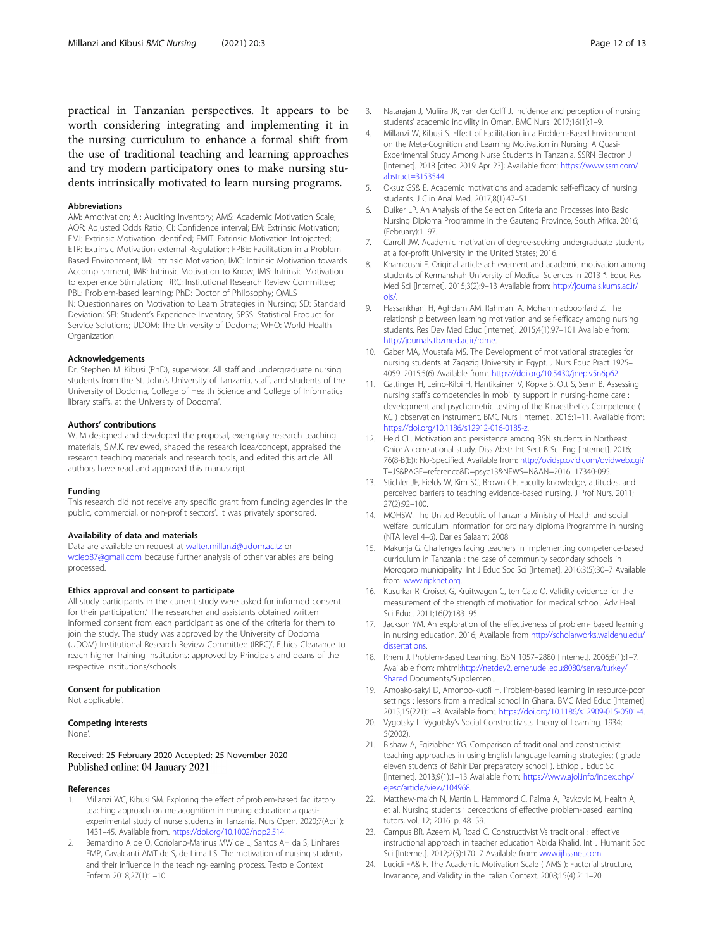<span id="page-11-0"></span>practical in Tanzanian perspectives. It appears to be worth considering integrating and implementing it in the nursing curriculum to enhance a formal shift from the use of traditional teaching and learning approaches and try modern participatory ones to make nursing students intrinsically motivated to learn nursing programs.

#### Abbreviations

AM: Amotivation; AI: Auditing Inventory; AMS: Academic Motivation Scale; AOR: Adjusted Odds Ratio; CI: Confidence interval; EM: Extrinsic Motivation; EMI: Extrinsic Motivation Identified; EMIT: Extrinsic Motivation Introjected; ETR: Extrinsic Motivation external Regulation; FPBE: Facilitation in a Problem Based Environment; IM: Intrinsic Motivation; IMC: Intrinsic Motivation towards Accomplishment; IMK: Intrinsic Motivation to Know; IMS: Intrinsic Motivation to experience Stimulation; IRRC: Institutional Research Review Committee; PBL: Problem-based learning; PhD: Doctor of Philosophy; QMLS N: Questionnaires on Motivation to Learn Strategies in Nursing; SD: Standard Deviation; SEI: Student's Experience Inventory; SPSS: Statistical Product for Service Solutions; UDOM: The University of Dodoma; WHO: World Health **Organization** 

#### Acknowledgements

Dr. Stephen M. Kibusi (PhD), supervisor, All staff and undergraduate nursing students from the St. John's University of Tanzania, staff, and students of the University of Dodoma, College of Health Science and College of Informatics library staffs, at the University of Dodoma'.

#### Authors' contributions

W. M designed and developed the proposal, exemplary research teaching materials, S.M.K. reviewed, shaped the research idea/concept, appraised the research teaching materials and research tools, and edited this article. All authors have read and approved this manuscript.

#### Funding

This research did not receive any specific grant from funding agencies in the public, commercial, or non-profit sectors'. It was privately sponsored.

#### Availability of data and materials

Data are available on request at [walter.millanzi@udom.ac.tz](mailto:walter.millanzi@udom.ac.tz) or [wcleo87@gmail.com](mailto:wcleo87@gmail.com) because further analysis of other variables are being processed.

#### Ethics approval and consent to participate

All study participants in the current study were asked for informed consent for their participation.' The researcher and assistants obtained written informed consent from each participant as one of the criteria for them to join the study. The study was approved by the University of Dodoma (UDOM) Institutional Research Review Committee (IRRC)', Ethics Clearance to reach higher Training Institutions: approved by Principals and deans of the respective institutions/schools.

#### Consent for publication

Not applicable'.

#### Competing interests

None'.

Received: 25 February 2020 Accepted: 25 November 2020 Published online: 04 January 2021

#### References

- 1. Millanzi WC, Kibusi SM. Exploring the effect of problem-based facilitatory teaching approach on metacognition in nursing education: a quasiexperimental study of nurse students in Tanzania. Nurs Open. 2020;7(April): 1431–45. Available from. [https://doi.org/10.1002/nop2.514.](https://doi.org/10.1002/nop2.514)
- 2. Bernardino A de O, Coriolano-Marinus MW de L, Santos AH da S, Linhares FMP, Cavalcanti AMT de S, de Lima LS. The motivation of nursing students and their influence in the teaching-learning process. Texto e Context Enferm 2018;27(1):1–10.
- 3. Natarajan J, Muliira JK, van der Colff J. Incidence and perception of nursing students' academic incivility in Oman. BMC Nurs. 2017;16(1):1–9.
- 4. Millanzi W, Kibusi S. Effect of Facilitation in a Problem-Based Environment on the Meta-Cognition and Learning Motivation in Nursing: A Quasi-Experimental Study Among Nurse Students in Tanzania. SSRN Electron J [Internet]. 2018 [cited 2019 Apr 23]; Available from: [https://www.ssrn.com/](https://www.ssrn.com/abstract=3153544) [abstract=3153544](https://www.ssrn.com/abstract=3153544).
- 5. Oksuz GS& E. Academic motivations and academic self-efficacy of nursing students. J Clin Anal Med. 2017;8(1):47–51.
- 6. Duiker LP. An Analysis of the Selection Criteria and Processes into Basic Nursing Diploma Programme in the Gauteng Province, South Africa. 2016; (February):1–97.
- 7. Carroll JW. Academic motivation of degree-seeking undergraduate students at a for-profit University in the United States; 2016.
- 8. Khamoushi F. Original article achievement and academic motivation among students of Kermanshah University of Medical Sciences in 2013 \*. Educ Res Med Sci [Internet]. 2015;3(2):9–13 Available from: [http://journals.kums.ac.ir/](http://journals.kums.ac.ir/ojs/) [ojs/](http://journals.kums.ac.ir/ojs/)
- 9. Hassankhani H, Aghdam AM, Rahmani A, Mohammadpoorfard Z. The relationship between learning motivation and self-efficacy among nursing students. Res Dev Med Educ [Internet]. 2015;4(1):97–101 Available from: [http://journals.tbzmed.ac.ir/rdme.](http://journals.tbzmed.ac.ir/rdme)
- 10. Gaber MA, Moustafa MS. The Development of motivational strategies for nursing students at Zagazig University in Egypt. J Nurs Educ Pract 1925– 4059. 2015;5(6) Available from:. <https://doi.org/10.5430/jnep.v5n6p62>.
- 11. Gattinger H, Leino-Kilpi H, Hantikainen V, Köpke S, Ott S, Senn B. Assessing nursing staff's competencies in mobility support in nursing-home care : development and psychometric testing of the Kinaesthetics Competence ( KC ) observation instrument. BMC Nurs [Internet]. 2016:1–11. Available from:. [https://doi.org/10.1186/s12912-016-0185-z.](https://doi.org/10.1186/s12912-016-0185-z)
- 12. Heid CL. Motivation and persistence among BSN students in Northeast Ohio: A correlational study. Diss Abstr Int Sect B Sci Eng [Internet]. 2016; 76(8-B(E)): No-Specified. Available from: <http://ovidsp.ovid.com/ovidweb.cgi?> T=JS&PAGE=reference&D=psyc13&NEWS=N&AN=2016–17340-095.
- 13. Stichler JF, Fields W, Kim SC, Brown CE. Faculty knowledge, attitudes, and perceived barriers to teaching evidence-based nursing. J Prof Nurs. 2011; 27(2):92–100.
- 14. MOHSW. The United Republic of Tanzania Ministry of Health and social welfare: curriculum information for ordinary diploma Programme in nursing (NTA level 4–6). Dar es Salaam; 2008.
- 15. Makunja G. Challenges facing teachers in implementing competence-based curriculum in Tanzania : the case of community secondary schools in Morogoro municipality. Int J Educ Soc Sci [Internet]. 2016;3(5):30–7 Available from: [www.ripknet.org.](http://www.ripknet.org)
- 16. Kusurkar R, Croiset G, Kruitwagen C, ten Cate O. Validity evidence for the measurement of the strength of motivation for medical school. Adv Heal Sci Educ. 2011;16(2):183–95.
- 17. Jackson YM. An exploration of the effectiveness of problem- based learning in nursing education. 2016; Available from [http://scholarworks.waldenu.edu/](http://scholarworks.waldenu.edu/dissertations) [dissertations.](http://scholarworks.waldenu.edu/dissertations)
- 18. Rhem J. Problem-Based Learning. ISSN 1057–2880 [Internet]. 2006;8(1):1–7. Available from: mhtml[:http://netdev2.lerner.udel.edu:8080/serva/turkey/](http://netdev2.lerner.udel.edu:8080/serva/turkey/Shared) [Shared](http://netdev2.lerner.udel.edu:8080/serva/turkey/Shared) Documents/Supplemen...
- 19. Amoako-sakyi D, Amonoo-kuofi H. Problem-based learning in resource-poor settings : lessons from a medical school in Ghana. BMC Med Educ [Internet]. 2015;15(221):1–8. Available from:. <https://doi.org/10.1186/s12909-015-0501-4>.
- 20. Vygotsky L. Vygotsky's Social Constructivists Theory of Learning. 1934; 5(2002).
- 21. Bishaw A, Egiziabher YG. Comparison of traditional and constructivist teaching approaches in using English language learning strategies; ( grade eleven students of Bahir Dar preparatory school ). Ethiop J Educ Sc [Internet]. 2013;9(1):1–13 Available from: [https://www.ajol.info/index.php/](https://www.ajol.info/index.php/ejesc/article/view/104968) [ejesc/article/view/104968.](https://www.ajol.info/index.php/ejesc/article/view/104968)
- 22. Matthew-maich N, Martin L, Hammond C, Palma A, Pavkovic M, Health A, et al. Nursing students ' perceptions of effective problem-based learning tutors, vol. 12; 2016. p. 48–59.
- 23. Campus BR, Azeem M, Road C. Constructivist Vs traditional : effective instructional approach in teacher education Abida Khalid. Int J Humanit Soc Sci [Internet]. 2012;2(5):170–7 Available from: [www.ijhssnet.com](http://www.ijhssnet.com).
- 24. Lucidi FA& F. The Academic Motivation Scale ( AMS ): Factorial structure, Invariance, and Validity in the Italian Context. 2008;15(4):211–20.